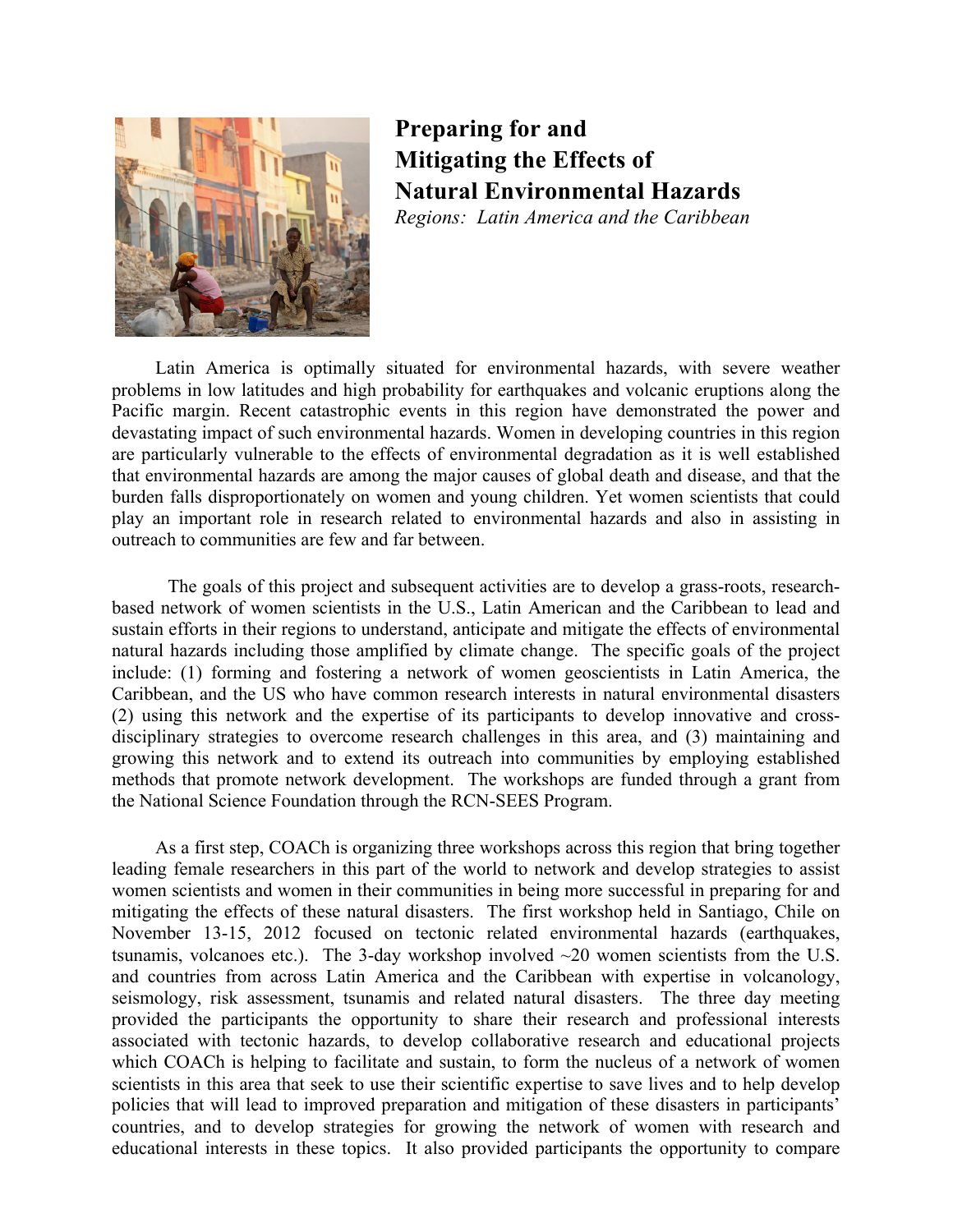

## **Preparing for and Mitigating the Effects of Natural Environmental Hazards**  *Regions: Latin America and the Caribbean*

Latin America is optimally situated for environmental hazards, with severe weather problems in low latitudes and high probability for earthquakes and volcanic eruptions along the Pacific margin. Recent catastrophic events in this region have demonstrated the power and devastating impact of such environmental hazards. Women in developing countries in this region are particularly vulnerable to the effects of environmental degradation as it is well established that environmental hazards are among the major causes of global death and disease, and that the burden falls disproportionately on women and young children. Yet women scientists that could play an important role in research related to environmental hazards and also in assisting in outreach to communities are few and far between.

The goals of this project and subsequent activities are to develop a grass-roots, researchbased network of women scientists in the U.S., Latin American and the Caribbean to lead and sustain efforts in their regions to understand, anticipate and mitigate the effects of environmental natural hazards including those amplified by climate change. The specific goals of the project include: (1) forming and fostering a network of women geoscientists in Latin America, the Caribbean, and the US who have common research interests in natural environmental disasters (2) using this network and the expertise of its participants to develop innovative and crossdisciplinary strategies to overcome research challenges in this area, and (3) maintaining and growing this network and to extend its outreach into communities by employing established methods that promote network development. The workshops are funded through a grant from the National Science Foundation through the RCN-SEES Program.

As a first step, COACh is organizing three workshops across this region that bring together leading female researchers in this part of the world to network and develop strategies to assist women scientists and women in their communities in being more successful in preparing for and mitigating the effects of these natural disasters. The first workshop held in Santiago, Chile on November 13-15, 2012 focused on tectonic related environmental hazards (earthquakes, tsunamis, volcanoes etc.). The 3-day workshop involved  $\sim$ 20 women scientists from the U.S. and countries from across Latin America and the Caribbean with expertise in volcanology, seismology, risk assessment, tsunamis and related natural disasters. The three day meeting provided the participants the opportunity to share their research and professional interests associated with tectonic hazards, to develop collaborative research and educational projects which COACh is helping to facilitate and sustain, to form the nucleus of a network of women scientists in this area that seek to use their scientific expertise to save lives and to help develop policies that will lead to improved preparation and mitigation of these disasters in participants' countries, and to develop strategies for growing the network of women with research and educational interests in these topics. It also provided participants the opportunity to compare